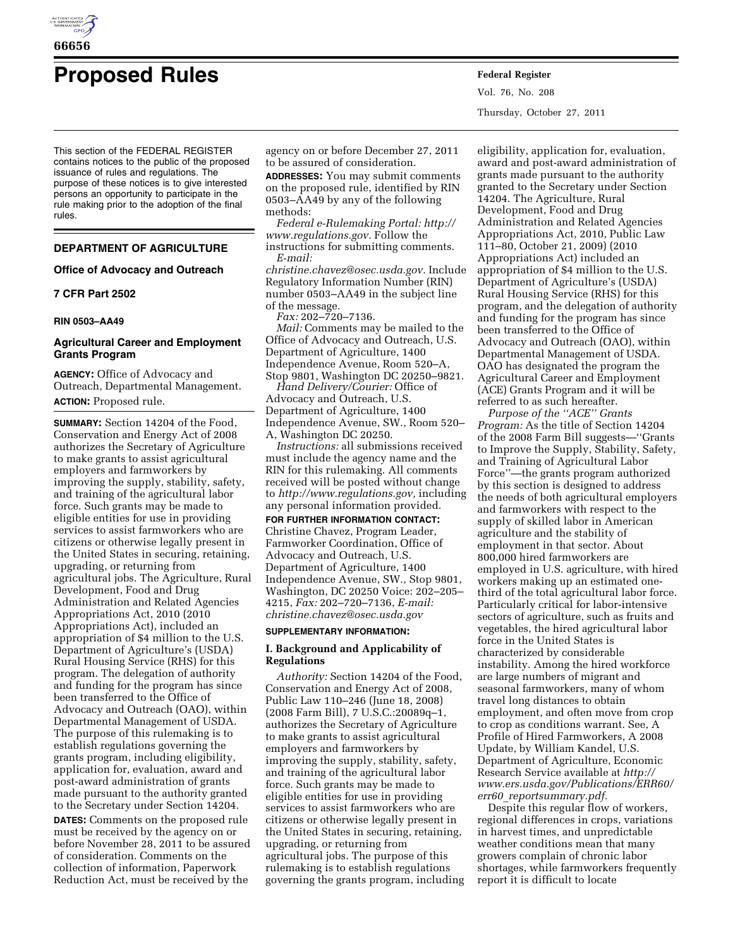

# **Proposed Rules Federal Register**

This section of the FEDERAL REGISTER contains notices to the public of the proposed issuance of rules and regulations. The purpose of these notices is to give interested persons an opportunity to participate in the rule making prior to the adoption of the final rules.

# **DEPARTMENT OF AGRICULTURE**

## **Office of Advocacy and Outreach**

# **7 CFR Part 2502**

## **RIN 0503–AA49**

# **Agricultural Career and Employment Grants Program**

**AGENCY:** Office of Advocacy and Outreach, Departmental Management. **ACTION:** Proposed rule.

**SUMMARY:** Section 14204 of the Food, Conservation and Energy Act of 2008 authorizes the Secretary of Agriculture to make grants to assist agricultural employers and farmworkers by improving the supply, stability, safety, and training of the agricultural labor force. Such grants may be made to eligible entities for use in providing services to assist farmworkers who are citizens or otherwise legally present in the United States in securing, retaining, upgrading, or returning from agricultural jobs. The Agriculture, Rural Development, Food and Drug Administration and Related Agencies Appropriations Act, 2010 (2010 Appropriations Act), included an appropriation of \$4 million to the U.S. Department of Agriculture's (USDA) Rural Housing Service (RHS) for this program. The delegation of authority and funding for the program has since been transferred to the Office of Advocacy and Outreach (OAO), within Departmental Management of USDA. The purpose of this rulemaking is to establish regulations governing the grants program, including eligibility, application for, evaluation, award and post-award administration of grants made pursuant to the authority granted to the Secretary under Section 14204.

**DATES:** Comments on the proposed rule must be received by the agency on or before November 28, 2011 to be assured of consideration. Comments on the collection of information, Paperwork Reduction Act, must be received by the

agency on or before December 27, 2011 to be assured of consideration.

**ADDRESSES:** You may submit comments on the proposed rule, identified by RIN 0503–AA49 by any of the following methods:

*Federal e-Rulemaking Portal: [http://](http://www.regulations.gov)  [www.regulations.gov.](http://www.regulations.gov)* Follow the instructions for submitting comments. *E-mail:* 

*[christine.chavez@osec.usda.gov.](mailto:christine.chavez@osec.usda.gov)* Include Regulatory Information Number (RIN) number 0503–AA49 in the subject line of the message.

*Fax:* 202–720–7136.

*Mail:* Comments may be mailed to the Office of Advocacy and Outreach, U.S. Department of Agriculture, 1400 Independence Avenue, Room 520–A, Stop 9801, Washington DC 20250–9821.

*Hand Delivery/Courier:* Office of Advocacy and Outreach, U.S. Department of Agriculture, 1400 Independence Avenue, SW., Room 520– A, Washington DC 20250.

*Instructions:* all submissions received must include the agency name and the RIN for this rulemaking. All comments received will be posted without change to *[http://www.regulations.gov,](http://www.regulations.gov)* including any personal information provided.

# **FOR FURTHER INFORMATION CONTACT:**

Christine Chavez, Program Leader, Farmworker Coordination, Office of Advocacy and Outreach, U.S. Department of Agriculture, 1400 Independence Avenue, SW., Stop 9801, Washington, DC 20250 Voice: 202–205– 4215, *Fax:* 202–720–7136, *E-mail: [christine.chavez@osec.usda.gov](mailto:christine.chavez@osec.usda.gov)* 

#### **SUPPLEMENTARY INFORMATION:**

# **I. Background and Applicability of Regulations**

*Authority:* Section 14204 of the Food, Conservation and Energy Act of 2008, Public Law 110–246 (June 18, 2008) (2008 Farm Bill), 7 U.S.C.:20089q–1, authorizes the Secretary of Agriculture to make grants to assist agricultural employers and farmworkers by improving the supply, stability, safety, and training of the agricultural labor force. Such grants may be made to eligible entities for use in providing services to assist farmworkers who are citizens or otherwise legally present in the United States in securing, retaining, upgrading, or returning from agricultural jobs. The purpose of this rulemaking is to establish regulations governing the grants program, including Vol. 76, No. 208 Thursday, October 27, 2011

eligibility, application for, evaluation, award and post-award administration of grants made pursuant to the authority granted to the Secretary under Section 14204. The Agriculture, Rural Development, Food and Drug Administration and Related Agencies Appropriations Act, 2010, Public Law 111–80, October 21, 2009) (2010 Appropriations Act) included an appropriation of \$4 million to the U.S. Department of Agriculture's (USDA) Rural Housing Service (RHS) for this program, and the delegation of authority and funding for the program has since been transferred to the Office of Advocacy and Outreach (OAO), within Departmental Management of USDA. OAO has designated the program the Agricultural Career and Employment (ACE) Grants Program and it will be referred to as such hereafter.

*Purpose of the ''ACE'' Grants Program:* As the title of Section 14204 of the 2008 Farm Bill suggests—''Grants to Improve the Supply, Stability, Safety, and Training of Agricultural Labor Force''—the grants program authorized by this section is designed to address the needs of both agricultural employers and farmworkers with respect to the supply of skilled labor in American agriculture and the stability of employment in that sector. About 800,000 hired farmworkers are employed in U.S. agriculture, with hired workers making up an estimated onethird of the total agricultural labor force. Particularly critical for labor-intensive sectors of agriculture, such as fruits and vegetables, the hired agricultural labor force in the United States is characterized by considerable instability. Among the hired workforce are large numbers of migrant and seasonal farmworkers, many of whom travel long distances to obtain employment, and often move from crop to crop as conditions warrant. See, A Profile of Hired Farmworkers, A 2008 Update, by William Kandel, U.S. Department of Agriculture, Economic Research Service available at *[http://](http://www.ers.usda.gov/Publications/ERR60/err60_reportsummary.pdf) [www.ers.usda.gov/Publications/ERR60/](http://www.ers.usda.gov/Publications/ERR60/err60_reportsummary.pdf)  err60*\_*[reportsummary.pdf.](http://www.ers.usda.gov/Publications/ERR60/err60_reportsummary.pdf)* 

Despite this regular flow of workers, regional differences in crops, variations in harvest times, and unpredictable weather conditions mean that many growers complain of chronic labor shortages, while farmworkers frequently report it is difficult to locate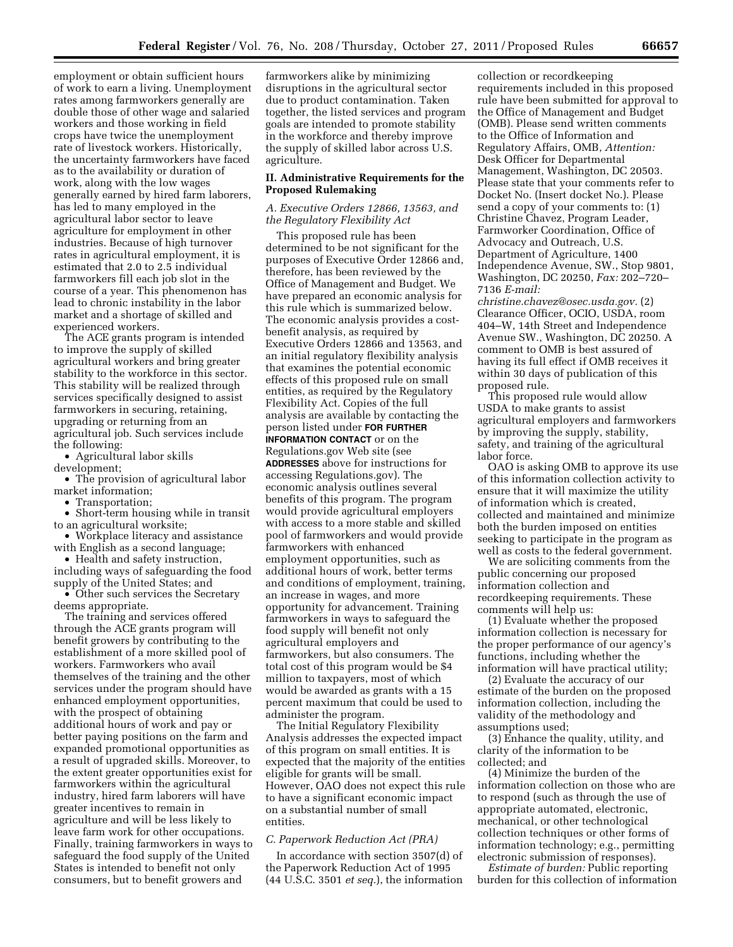employment or obtain sufficient hours of work to earn a living. Unemployment rates among farmworkers generally are double those of other wage and salaried workers and those working in field crops have twice the unemployment rate of livestock workers. Historically, the uncertainty farmworkers have faced as to the availability or duration of work, along with the low wages generally earned by hired farm laborers, has led to many employed in the agricultural labor sector to leave agriculture for employment in other industries. Because of high turnover rates in agricultural employment, it is estimated that 2.0 to 2.5 individual farmworkers fill each job slot in the course of a year. This phenomenon has lead to chronic instability in the labor market and a shortage of skilled and experienced workers.

The ACE grants program is intended to improve the supply of skilled agricultural workers and bring greater stability to the workforce in this sector. This stability will be realized through services specifically designed to assist farmworkers in securing, retaining, upgrading or returning from an agricultural job. Such services include the following:

• Agricultural labor skills development;

• The provision of agricultural labor market information;

• Transportation:

• Short-term housing while in transit to an agricultural worksite;

• Workplace literacy and assistance with English as a second language;

• Health and safety instruction,

including ways of safeguarding the food supply of the United States; and

• Other such services the Secretary deems appropriate.

The training and services offered through the ACE grants program will benefit growers by contributing to the establishment of a more skilled pool of workers. Farmworkers who avail themselves of the training and the other services under the program should have enhanced employment opportunities, with the prospect of obtaining additional hours of work and pay or better paying positions on the farm and expanded promotional opportunities as a result of upgraded skills. Moreover, to the extent greater opportunities exist for farmworkers within the agricultural industry, hired farm laborers will have greater incentives to remain in agriculture and will be less likely to leave farm work for other occupations. Finally, training farmworkers in ways to safeguard the food supply of the United States is intended to benefit not only consumers, but to benefit growers and

farmworkers alike by minimizing disruptions in the agricultural sector due to product contamination. Taken together, the listed services and program goals are intended to promote stability in the workforce and thereby improve the supply of skilled labor across U.S. agriculture.

## **II. Administrative Requirements for the Proposed Rulemaking**

## *A. Executive Orders 12866, 13563, and the Regulatory Flexibility Act*

This proposed rule has been determined to be not significant for the purposes of Executive Order 12866 and, therefore, has been reviewed by the Office of Management and Budget. We have prepared an economic analysis for this rule which is summarized below. The economic analysis provides a costbenefit analysis, as required by Executive Orders 12866 and 13563, and an initial regulatory flexibility analysis that examines the potential economic effects of this proposed rule on small entities, as required by the Regulatory Flexibility Act. Copies of the full analysis are available by contacting the person listed under **FOR FURTHER INFORMATION CONTACT** or on the Regulations.gov Web site (see **ADDRESSES** above for instructions for accessing Regulations.gov). The economic analysis outlines several benefits of this program. The program would provide agricultural employers with access to a more stable and skilled pool of farmworkers and would provide farmworkers with enhanced employment opportunities, such as additional hours of work, better terms and conditions of employment, training, an increase in wages, and more opportunity for advancement. Training farmworkers in ways to safeguard the food supply will benefit not only agricultural employers and farmworkers, but also consumers. The total cost of this program would be \$4 million to taxpayers, most of which would be awarded as grants with a 15 percent maximum that could be used to administer the program.

The Initial Regulatory Flexibility Analysis addresses the expected impact of this program on small entities. It is expected that the majority of the entities eligible for grants will be small. However, OAO does not expect this rule to have a significant economic impact on a substantial number of small entities.

# *C. Paperwork Reduction Act (PRA)*

In accordance with section 3507(d) of the Paperwork Reduction Act of 1995 (44 U.S.C. 3501 *et seq.*), the information collection or recordkeeping requirements included in this proposed rule have been submitted for approval to the Office of Management and Budget (OMB). Please send written comments to the Office of Information and Regulatory Affairs, OMB, *Attention:*  Desk Officer for Departmental Management, Washington, DC 20503. Please state that your comments refer to Docket No. (Insert docket No.). Please send a copy of your comments to: (1) Christine Chavez, Program Leader, Farmworker Coordination, Office of Advocacy and Outreach, U.S. Department of Agriculture, 1400 Independence Avenue, SW., Stop 9801, Washington, DC 20250, *Fax:* 202–720– 7136 *E-mail:* 

*[christine.chavez@osec.usda.gov.](mailto:christine.chavez@osec.usda.gov)* (2) Clearance Officer, OCIO, USDA, room 404–W, 14th Street and Independence Avenue SW., Washington, DC 20250. A comment to OMB is best assured of having its full effect if OMB receives it within 30 days of publication of this proposed rule.

This proposed rule would allow USDA to make grants to assist agricultural employers and farmworkers by improving the supply, stability, safety, and training of the agricultural labor force.

OAO is asking OMB to approve its use of this information collection activity to ensure that it will maximize the utility of information which is created, collected and maintained and minimize both the burden imposed on entities seeking to participate in the program as well as costs to the federal government.

We are soliciting comments from the public concerning our proposed information collection and recordkeeping requirements. These comments will help us:

(1) Evaluate whether the proposed information collection is necessary for the proper performance of our agency's functions, including whether the information will have practical utility;

(2) Evaluate the accuracy of our estimate of the burden on the proposed information collection, including the validity of the methodology and assumptions used;

(3) Enhance the quality, utility, and clarity of the information to be collected; and

(4) Minimize the burden of the information collection on those who are to respond (such as through the use of appropriate automated, electronic, mechanical, or other technological collection techniques or other forms of information technology; e.g., permitting electronic submission of responses).

*Estimate of burden:* Public reporting burden for this collection of information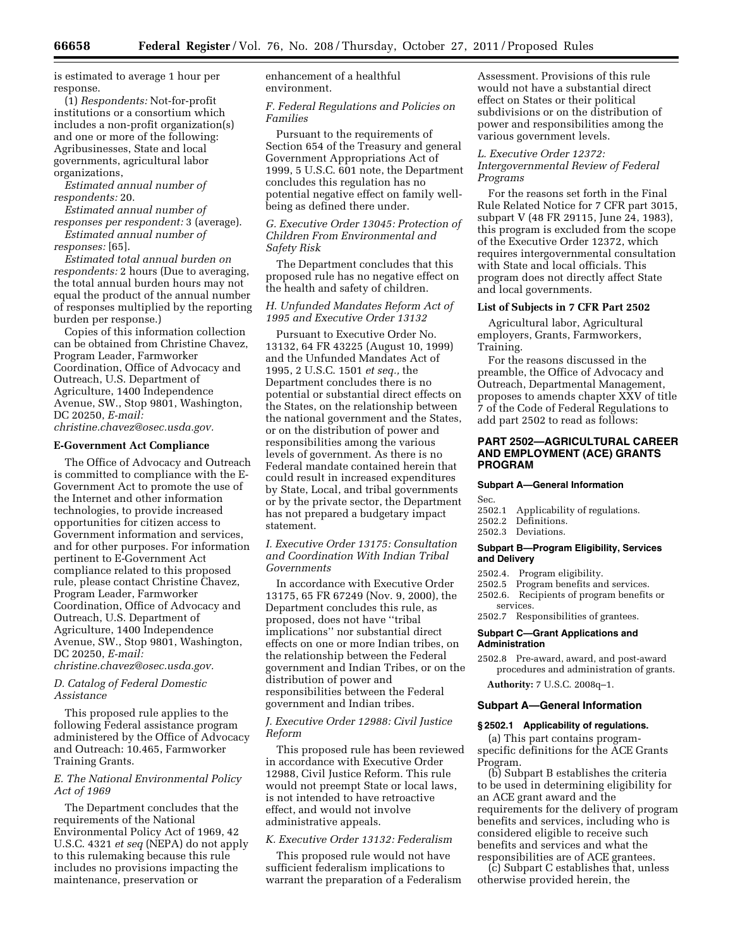is estimated to average 1 hour per response.

(1) *Respondents:* Not-for-profit institutions or a consortium which includes a non-profit organization(s) and one or more of the following: Agribusinesses, State and local governments, agricultural labor organizations,

*Estimated annual number of respondents:* 20.

*Estimated annual number of responses per respondent:* 3 (average). *Estimated annual number of* 

*responses:* [65]. *Estimated total annual burden on respondents:* 2 hours (Due to averaging, the total annual burden hours may not equal the product of the annual number of responses multiplied by the reporting

burden per response.) Copies of this information collection can be obtained from Christine Chavez, Program Leader, Farmworker Coordination, Office of Advocacy and Outreach, U.S. Department of Agriculture, 1400 Independence Avenue, SW., Stop 9801, Washington, DC 20250, *E-mail:* 

*[christine.chavez@osec.usda.gov.](mailto:christine.chavez@osec.usda.gov)* 

## **E-Government Act Compliance**

The Office of Advocacy and Outreach is committed to compliance with the E-Government Act to promote the use of the Internet and other information technologies, to provide increased opportunities for citizen access to Government information and services, and for other purposes. For information pertinent to E-Government Act compliance related to this proposed rule, please contact Christine Chavez, Program Leader, Farmworker Coordination, Office of Advocacy and Outreach, U.S. Department of Agriculture, 1400 Independence Avenue, SW., Stop 9801, Washington, DC 20250, *E-mail:* 

*[christine.chavez@osec.usda.gov.](mailto:christine.chavez@osec.usda.gov)* 

# *D. Catalog of Federal Domestic Assistance*

This proposed rule applies to the following Federal assistance program administered by the Office of Advocacy and Outreach: 10.465, Farmworker Training Grants.

# *E. The National Environmental Policy Act of 1969*

The Department concludes that the requirements of the National Environmental Policy Act of 1969, 42 U.S.C. 4321 *et seq* (NEPA) do not apply to this rulemaking because this rule includes no provisions impacting the maintenance, preservation or

enhancement of a healthful environment.

*F. Federal Regulations and Policies on Families* 

Pursuant to the requirements of Section 654 of the Treasury and general Government Appropriations Act of 1999, 5 U.S.C. 601 note, the Department concludes this regulation has no potential negative effect on family wellbeing as defined there under.

*G. Executive Order 13045: Protection of Children From Environmental and Safety Risk* 

The Department concludes that this proposed rule has no negative effect on the health and safety of children.

## *H. Unfunded Mandates Reform Act of 1995 and Executive Order 13132*

Pursuant to Executive Order No. 13132, 64 FR 43225 (August 10, 1999) and the Unfunded Mandates Act of 1995, 2 U.S.C. 1501 *et seq.,* the Department concludes there is no potential or substantial direct effects on the States, on the relationship between the national government and the States, or on the distribution of power and responsibilities among the various levels of government. As there is no Federal mandate contained herein that could result in increased expenditures by State, Local, and tribal governments or by the private sector, the Department has not prepared a budgetary impact statement.

# *I. Executive Order 13175: Consultation and Coordination With Indian Tribal Governments*

In accordance with Executive Order 13175, 65 FR 67249 (Nov. 9, 2000), the Department concludes this rule, as proposed, does not have ''tribal implications'' nor substantial direct effects on one or more Indian tribes, on the relationship between the Federal government and Indian Tribes, or on the distribution of power and responsibilities between the Federal government and Indian tribes.

# *J. Executive Order 12988: Civil Justice Reform*

This proposed rule has been reviewed in accordance with Executive Order 12988, Civil Justice Reform. This rule would not preempt State or local laws, is not intended to have retroactive effect, and would not involve administrative appeals.

# *K. Executive Order 13132: Federalism*

This proposed rule would not have sufficient federalism implications to warrant the preparation of a Federalism Assessment. Provisions of this rule would not have a substantial direct effect on States or their political subdivisions or on the distribution of power and responsibilities among the various government levels.

# *L. Executive Order 12372:*

*Intergovernmental Review of Federal Programs* 

For the reasons set forth in the Final Rule Related Notice for 7 CFR part 3015, subpart V (48 FR 29115, June 24, 1983), this program is excluded from the scope of the Executive Order 12372, which requires intergovernmental consultation with State and local officials. This program does not directly affect State and local governments.

## **List of Subjects in 7 CFR Part 2502**

Agricultural labor, Agricultural employers, Grants, Farmworkers, Training.

For the reasons discussed in the preamble, the Office of Advocacy and Outreach, Departmental Management, proposes to amends chapter XXV of title 7 of the Code of Federal Regulations to add part 2502 to read as follows:

# **PART 2502—AGRICULTURAL CAREER AND EMPLOYMENT (ACE) GRANTS PROGRAM**

## **Subpart A—General Information**

Sec.

- 2502.1 Applicability of regulations.
- 2502.2 Definitions.
- 2502.3 Deviations.

#### **Subpart B—Program Eligibility, Services and Delivery**

- 2502.4. Program eligibility.
- 2502.5 Program benefits and services.
- 2502.6. Recipients of program benefits or services.
- 2502.7 Responsibilities of grantees.

#### **Subpart C—Grant Applications and Administration**

2502.8 Pre-award, award, and post-award procedures and administration of grants.

**Authority:** 7 U.S.C. 2008q–1.

#### **Subpart A—General Information**

## **§ 2502.1 Applicability of regulations.**

(a) This part contains programspecific definitions for the ACE Grants Program.

(b) Subpart B establishes the criteria to be used in determining eligibility for an ACE grant award and the requirements for the delivery of program benefits and services, including who is considered eligible to receive such benefits and services and what the responsibilities are of ACE grantees.

(c) Subpart C establishes that, unless otherwise provided herein, the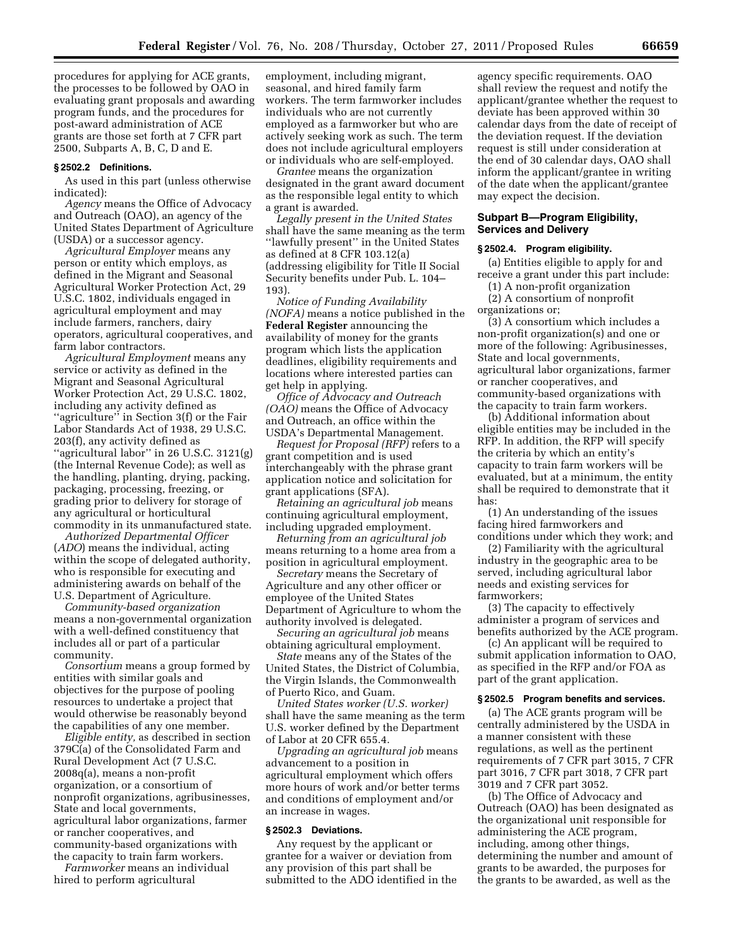procedures for applying for ACE grants, the processes to be followed by OAO in evaluating grant proposals and awarding program funds, and the procedures for post-award administration of ACE grants are those set forth at 7 CFR part 2500, Subparts A, B, C, D and E.

## **§ 2502.2 Definitions.**

As used in this part (unless otherwise indicated):

*Agency* means the Office of Advocacy and Outreach (OAO), an agency of the United States Department of Agriculture (USDA) or a successor agency.

*Agricultural Employer* means any person or entity which employs, as defined in the Migrant and Seasonal Agricultural Worker Protection Act, 29 U.S.C. 1802, individuals engaged in agricultural employment and may include farmers, ranchers, dairy operators, agricultural cooperatives, and farm labor contractors.

*Agricultural Employment* means any service or activity as defined in the Migrant and Seasonal Agricultural Worker Protection Act, 29 U.S.C. 1802, including any activity defined as ''agriculture'' in Section 3(f) or the Fair Labor Standards Act of 1938, 29 U.S.C. 203(f), any activity defined as "agricultural labor" in 26 U.S.C. 3121(g) (the Internal Revenue Code); as well as the handling, planting, drying, packing, packaging, processing, freezing, or grading prior to delivery for storage of any agricultural or horticultural commodity in its unmanufactured state.

*Authorized Departmental Officer*  (*ADO*) means the individual, acting within the scope of delegated authority, who is responsible for executing and administering awards on behalf of the U.S. Department of Agriculture.

*Community-based organization*  means a non-governmental organization with a well-defined constituency that includes all or part of a particular community.

*Consortium* means a group formed by entities with similar goals and objectives for the purpose of pooling resources to undertake a project that would otherwise be reasonably beyond the capabilities of any one member.

*Eligible entity,* as described in section 379C(a) of the Consolidated Farm and Rural Development Act (7 U.S.C. 2008q(a), means a non-profit organization, or a consortium of nonprofit organizations, agribusinesses, State and local governments, agricultural labor organizations, farmer or rancher cooperatives, and community-based organizations with the capacity to train farm workers.

*Farmworker* means an individual hired to perform agricultural

employment, including migrant, seasonal, and hired family farm workers. The term farmworker includes individuals who are not currently employed as a farmworker but who are actively seeking work as such. The term does not include agricultural employers or individuals who are self-employed.

*Grantee* means the organization designated in the grant award document as the responsible legal entity to which a grant is awarded.

*Legally present in the United States*  shall have the same meaning as the term ''lawfully present'' in the United States as defined at 8 CFR 103.12(a) (addressing eligibility for Title II Social Security benefits under Pub. L. 104– 193).

*Notice of Funding Availability (NOFA)* means a notice published in the **Federal Register** announcing the availability of money for the grants program which lists the application deadlines, eligibility requirements and locations where interested parties can get help in applying.

*Office of Advocacy and Outreach (OAO)* means the Office of Advocacy and Outreach, an office within the USDA's Departmental Management.

*Request for Proposal (RFP)* refers to a grant competition and is used interchangeably with the phrase grant application notice and solicitation for grant applications (SFA).

*Retaining an agricultural job* means continuing agricultural employment, including upgraded employment.

*Returning from an agricultural job*  means returning to a home area from a position in agricultural employment.

*Secretary* means the Secretary of Agriculture and any other officer or employee of the United States Department of Agriculture to whom the authority involved is delegated.

*Securing an agricultural job* means obtaining agricultural employment.

*State* means any of the States of the United States, the District of Columbia, the Virgin Islands, the Commonwealth of Puerto Rico, and Guam.

*United States worker (U.S. worker)*  shall have the same meaning as the term U.S. worker defined by the Department of Labor at 20 CFR 655.4.

*Upgrading an agricultural job* means advancement to a position in agricultural employment which offers more hours of work and/or better terms and conditions of employment and/or an increase in wages.

# **§ 2502.3 Deviations.**

Any request by the applicant or grantee for a waiver or deviation from any provision of this part shall be submitted to the ADO identified in the

agency specific requirements. OAO shall review the request and notify the applicant/grantee whether the request to deviate has been approved within 30 calendar days from the date of receipt of the deviation request. If the deviation request is still under consideration at the end of 30 calendar days, OAO shall inform the applicant/grantee in writing of the date when the applicant/grantee may expect the decision.

## **Subpart B—Program Eligibility, Services and Delivery**

## **§ 2502.4. Program eligibility.**

(a) Entities eligible to apply for and receive a grant under this part include:

(1) A non-profit organization (2) A consortium of nonprofit

organizations or;

(3) A consortium which includes a non-profit organization(s) and one or more of the following: Agribusinesses, State and local governments, agricultural labor organizations, farmer or rancher cooperatives, and community-based organizations with the capacity to train farm workers.

(b) Additional information about eligible entities may be included in the RFP. In addition, the RFP will specify the criteria by which an entity's capacity to train farm workers will be evaluated, but at a minimum, the entity shall be required to demonstrate that it has:

(1) An understanding of the issues facing hired farmworkers and conditions under which they work; and

(2) Familiarity with the agricultural industry in the geographic area to be served, including agricultural labor needs and existing services for farmworkers;

(3) The capacity to effectively administer a program of services and benefits authorized by the ACE program.

(c) An applicant will be required to submit application information to OAO, as specified in the RFP and/or FOA as part of the grant application.

#### **§ 2502.5 Program benefits and services.**

(a) The ACE grants program will be centrally administered by the USDA in a manner consistent with these regulations, as well as the pertinent requirements of 7 CFR part 3015, 7 CFR part 3016, 7 CFR part 3018, 7 CFR part 3019 and 7 CFR part 3052.

(b) The Office of Advocacy and Outreach (OAO) has been designated as the organizational unit responsible for administering the ACE program, including, among other things, determining the number and amount of grants to be awarded, the purposes for the grants to be awarded, as well as the